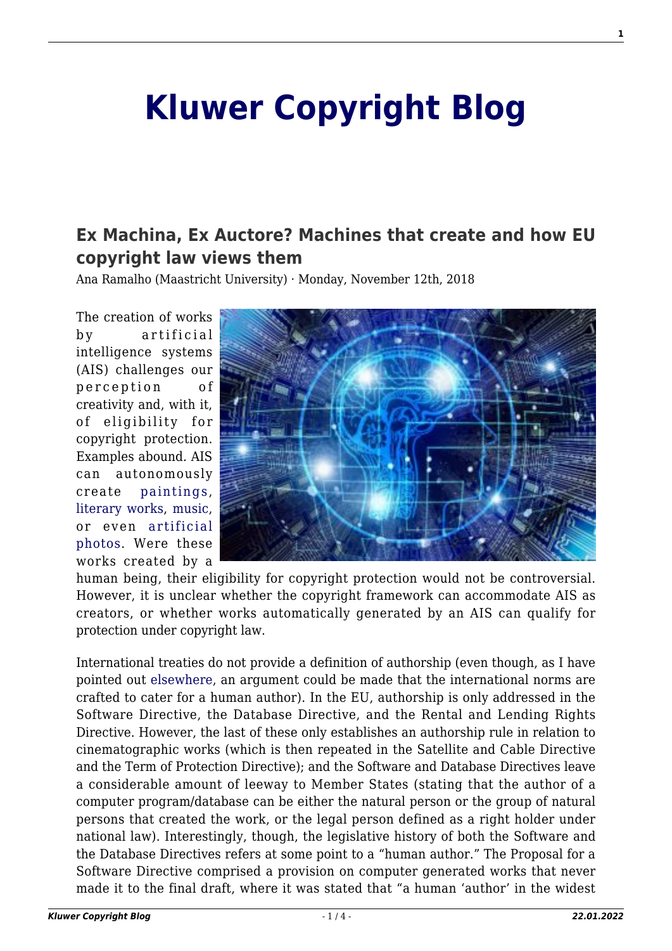## **[Kluwer Copyright Blog](http://copyrightblog.kluweriplaw.com/)**

## **[Ex Machina, Ex Auctore? Machines that create and how EU](http://copyrightblog.kluweriplaw.com/2018/11/12/ex-machina-ex-auctore-machines-that-create-and-how-eu-copyright-law-views-them/) [copyright law views them](http://copyrightblog.kluweriplaw.com/2018/11/12/ex-machina-ex-auctore-machines-that-create-and-how-eu-copyright-law-views-them/)**

Ana Ramalho (Maastricht University) · Monday, November 12th, 2018

The creation of works by artificial intelligence systems (AIS) challenges our perception of creativity and, with it, of eligibility for copyright protection. Examples abound. AIS can autonomously create [paintings,](http://www.thepaintingfool.com/) [literary works](http://www.ubu.com/historical/racter/index.html), [music,](https://www.aiva.ai/engine) or even [artificial](https://petapixel.com/2017/11/07/ai-creates-photo-realistic-faces-people-dont-exist/) [photos](https://petapixel.com/2017/11/07/ai-creates-photo-realistic-faces-people-dont-exist/). Were these works created by a



human being, their eligibility for copyright protection would not be controversial. However, it is unclear whether the copyright framework can accommodate AIS as creators, or whether works automatically generated by an AIS can qualify for protection under copyright law.

International treaties do not provide a definition of authorship (even though, as I have pointed out [elsewhere](https://papers.ssrn.com/sol3/papers.cfm?abstract_id=2987757), an argument could be made that the international norms are crafted to cater for a human author). In the EU, authorship is only addressed in the Software Directive, the Database Directive, and the Rental and Lending Rights Directive. However, the last of these only establishes an authorship rule in relation to cinematographic works (which is then repeated in the Satellite and Cable Directive and the Term of Protection Directive); and the Software and Database Directives leave a considerable amount of leeway to Member States (stating that the author of a computer program/database can be either the natural person or the group of natural persons that created the work, or the legal person defined as a right holder under national law). Interestingly, though, the legislative history of both the Software and the Database Directives refers at some point to a "human author." The Proposal for a Software Directive comprised a provision on computer generated works that never made it to the final draft, where it was stated that "a human 'author' in the widest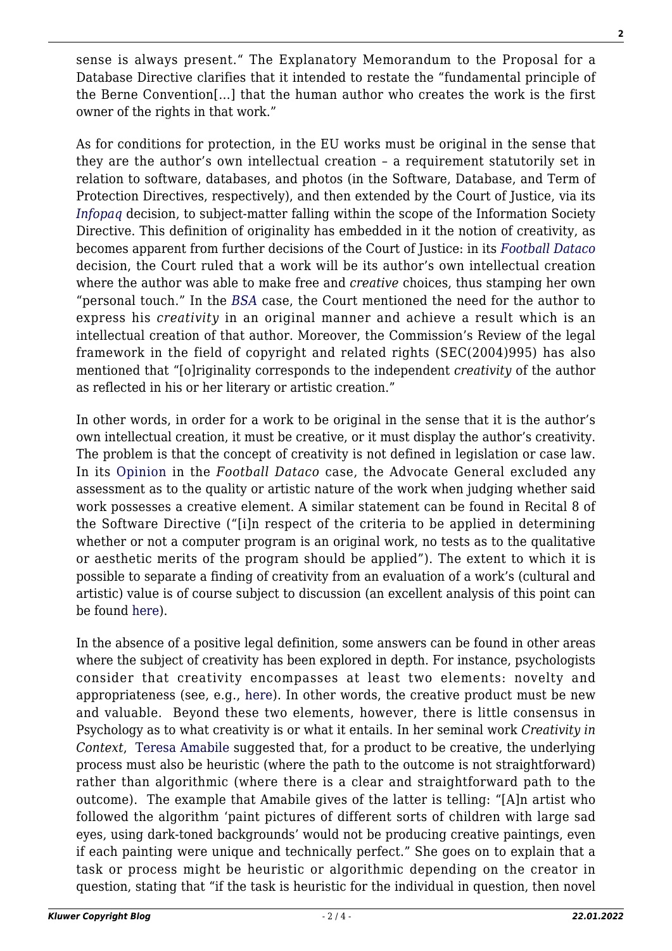sense is always present." The Explanatory Memorandum to the Proposal for a Database Directive clarifies that it intended to restate the "fundamental principle of the Berne Convention[…] that the human author who creates the work is the first owner of the rights in that work."

As for conditions for protection, in the EU works must be original in the sense that they are the author's own intellectual creation – a requirement statutorily set in relation to software, databases, and photos (in the Software, Database, and Term of Protection Directives, respectively), and then extended by the Court of Justice, via its *[Infopaq](http://curia.europa.eu/juris/document/document.jsf?docid=72482&doclang=en)* decision, to subject-matter falling within the scope of the Information Society Directive. This definition of originality has embedded in it the notion of creativity, as becomes apparent from further decisions of the Court of Justice: in its *[Football Dataco](http://curia.europa.eu/juris/document/document.jsf?text=&docid=119904&pageIndex=0&doclang=en&mode=lst&dir=&occ=first&part=1&cid=451860)* decision, the Court ruled that a work will be its author's own intellectual creation where the author was able to make free and *creative* choices, thus stamping her own "personal touch." In the *[BSA](http://curia.europa.eu/juris/document/document.jsf?text=&docid=83458&pageIndex=0&doclang=en&mode=lst&dir=&occ=first&part=1&cid=453208)* case, the Court mentioned the need for the author to express his *creativity* in an original manner and achieve a result which is an intellectual creation of that author. Moreover, the Commission's Review of the legal framework in the field of copyright and related rights (SEC(2004)995) has also mentioned that "[o]riginality corresponds to the independent *creativity* of the author as reflected in his or her literary or artistic creation."

In other words, in order for a work to be original in the sense that it is the author's own intellectual creation, it must be creative, or it must display the author's creativity. The problem is that the concept of creativity is not defined in legislation or case law. In its [Opinion](http://curia.europa.eu/juris/document/document.jsf?text=&docid=116724&pageIndex=0&doclang=EN&mode=lst&dir=&occ=first&part=1&cid=2378421) in the *Football Dataco* case, the Advocate General excluded any assessment as to the quality or artistic nature of the work when judging whether said work possesses a creative element. A similar statement can be found in Recital 8 of the Software Directive ("[i]n respect of the criteria to be applied in determining whether or not a computer program is an original work, no tests as to the qualitative or aesthetic merits of the program should be applied"). The extent to which it is possible to separate a finding of creativity from an evaluation of a work's (cultural and artistic) value is of course subject to discussion (an excellent analysis of this point can be found [here](https://www.ivir.nl/publicaties/download/JCS_2013_3.pdf)).

In the absence of a positive legal definition, some answers can be found in other areas where the subject of creativity has been explored in depth. For instance, psychologists consider that creativity encompasses at least two elements: novelty and appropriateness (see, e.g., [here\)](http://psycnet.apa.org/record/2011-06873-003). In other words, the creative product must be new and valuable. Beyond these two elements, however, there is little consensus in Psychology as to what creativity is or what it entails. In her seminal work *Creativity in Context*, [Teresa Amabile](https://www.hbs.edu/faculty/Pages/print-profile.aspx?facId=6409) suggested that, for a product to be creative, the underlying process must also be heuristic (where the path to the outcome is not straightforward) rather than algorithmic (where there is a clear and straightforward path to the outcome). The example that Amabile gives of the latter is telling: "[A]n artist who followed the algorithm 'paint pictures of different sorts of children with large sad eyes, using dark-toned backgrounds' would not be producing creative paintings, even if each painting were unique and technically perfect." She goes on to explain that a task or process might be heuristic or algorithmic depending on the creator in question, stating that "if the task is heuristic for the individual in question, then novel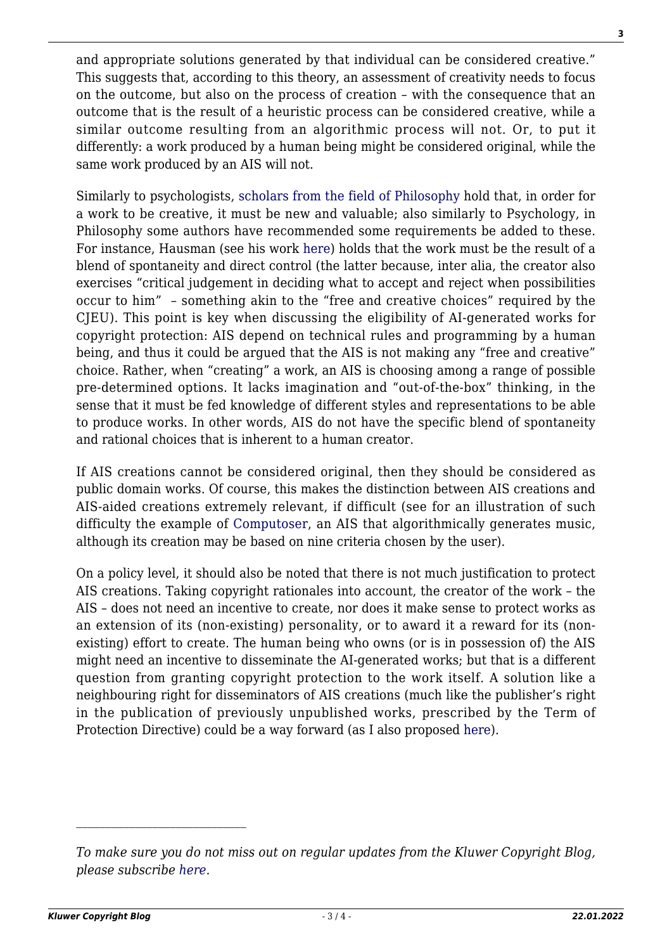and appropriate solutions generated by that individual can be considered creative." This suggests that, according to this theory, an assessment of creativity needs to focus on the outcome, but also on the process of creation – with the consequence that an outcome that is the result of a heuristic process can be considered creative, while a similar outcome resulting from an algorithmic process will not. Or, to put it differently: a work produced by a human being might be considered original, while the same work produced by an AIS will not.

Similarly to psychologists, [scholars from the field of Philosophy](https://brill.com/view/title/13262) hold that, in order for a work to be creative, it must be new and valuable; also similarly to Psychology, in Philosophy some authors have recommended some requirements be added to these. For instance, Hausman (see his work [here\)](http://booksandjournals.brillonline.com/content/books/10.1163/ej.9789004174443.i-348.7) holds that the work must be the result of a blend of spontaneity and direct control (the latter because, inter alia, the creator also exercises "critical judgement in deciding what to accept and reject when possibilities occur to him" – something akin to the "free and creative choices" required by the CJEU). This point is key when discussing the eligibility of AI-generated works for copyright protection: AIS depend on technical rules and programming by a human being, and thus it could be argued that the AIS is not making any "free and creative" choice. Rather, when "creating" a work, an AIS is choosing among a range of possible pre-determined options. It lacks imagination and "out-of-the-box" thinking, in the sense that it must be fed knowledge of different styles and representations to be able to produce works. In other words, AIS do not have the specific blend of spontaneity and rational choices that is inherent to a human creator.

If AIS creations cannot be considered original, then they should be considered as public domain works. Of course, this makes the distinction between AIS creations and AIS-aided creations extremely relevant, if difficult (see for an illustration of such difficulty the example of [Computoser,](http://computoser.com/) an AIS that algorithmically generates music, although its creation may be based on nine criteria chosen by the user).

On a policy level, it should also be noted that there is not much justification to protect AIS creations. Taking copyright rationales into account, the creator of the work – the AIS – does not need an incentive to create, nor does it make sense to protect works as an extension of its (non-existing) personality, or to award it a reward for its (nonexisting) effort to create. The human being who owns (or is in possession of) the AIS might need an incentive to disseminate the AI-generated works; but that is a different question from granting copyright protection to the work itself. A solution like a neighbouring right for disseminators of AIS creations (much like the publisher's right in the publication of previously unpublished works, prescribed by the Term of Protection Directive) could be a way forward (as I also proposed [here\)](https://papers.ssrn.com/sol3/papers.cfm?abstract_id=2987757).

*To make sure you do not miss out on regular updates from the Kluwer Copyright Blog, please subscribe [here.](http://copyrightblog.kluweriplaw.com/newsletter)*